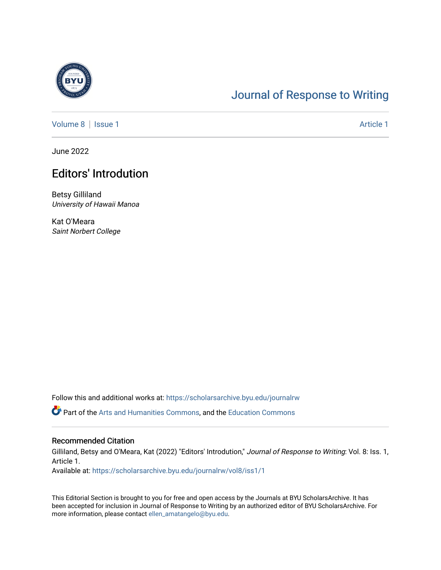

## [Journal of Response to Writing](https://scholarsarchive.byu.edu/journalrw)

[Volume 8](https://scholarsarchive.byu.edu/journalrw/vol8) | [Issue 1](https://scholarsarchive.byu.edu/journalrw/vol8/iss1) Article 1

June 2022

## Editors' Introdution

Betsy Gilliland University of Hawaii Manoa

Kat O'Meara Saint Norbert College

Follow this and additional works at: [https://scholarsarchive.byu.edu/journalrw](https://scholarsarchive.byu.edu/journalrw?utm_source=scholarsarchive.byu.edu%2Fjournalrw%2Fvol8%2Fiss1%2F1&utm_medium=PDF&utm_campaign=PDFCoverPages)

Part of the [Arts and Humanities Commons,](https://network.bepress.com/hgg/discipline/438?utm_source=scholarsarchive.byu.edu%2Fjournalrw%2Fvol8%2Fiss1%2F1&utm_medium=PDF&utm_campaign=PDFCoverPages) and the [Education Commons](https://network.bepress.com/hgg/discipline/784?utm_source=scholarsarchive.byu.edu%2Fjournalrw%2Fvol8%2Fiss1%2F1&utm_medium=PDF&utm_campaign=PDFCoverPages) 

## Recommended Citation

Gilliland, Betsy and O'Meara, Kat (2022) "Editors' Introdution," Journal of Response to Writing: Vol. 8: Iss. 1, Article 1.

Available at: [https://scholarsarchive.byu.edu/journalrw/vol8/iss1/1](https://scholarsarchive.byu.edu/journalrw/vol8/iss1/1?utm_source=scholarsarchive.byu.edu%2Fjournalrw%2Fvol8%2Fiss1%2F1&utm_medium=PDF&utm_campaign=PDFCoverPages)

This Editorial Section is brought to you for free and open access by the Journals at BYU ScholarsArchive. It has been accepted for inclusion in Journal of Response to Writing by an authorized editor of BYU ScholarsArchive. For more information, please contact [ellen\\_amatangelo@byu.edu.](mailto:ellen_amatangelo@byu.edu)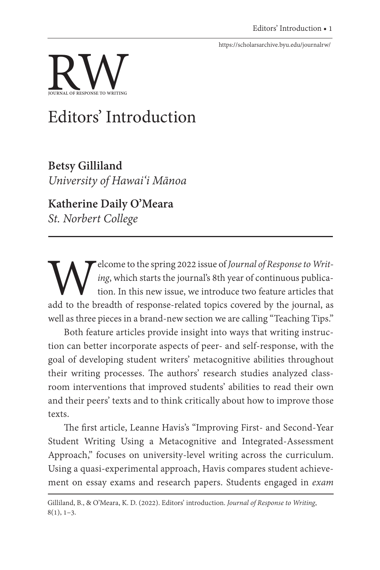<https://scholarsarchive.byu.edu/journalrw/>



## Editors' Introduction

**Betsy Gilliland** *University of Hawai'i Mānoa* 

**Katherine Daily O'Meara** *St. Norbert College*

Welcome to the spring 2022 issue of *Journal of Response to Writ-*<br> *ing*, which starts the journal's 8th year of continuous publication. In this new issue, we introduce two feature articles that<br>
add to the breadth of res *ing*, which starts the journal's 8th year of continuous publication. In this new issue, we introduce two feature articles that well as three pieces in a brand-new section we are calling "Teaching Tips."

Both feature articles provide insight into ways that writing instruction can better incorporate aspects of peer- and self-response, with the goal of developing student writers' metacognitive abilities throughout their writing processes. The authors' research studies analyzed classroom interventions that improved students' abilities to read their own and their peers' texts and to think critically about how to improve those texts.

The first article, Leanne Havis's "Improving First- and Second-Year Student Writing Using a Metacognitive and Integrated-Assessment Approach," focuses on university-level writing across the curriculum. Using a quasi-experimental approach, Havis compares student achievement on essay exams and research papers. Students engaged in *exam* 

Gilliland, B., & O'Meara, K. D. (2022). Editors' introduction. *Journal of Response to Writing*,  $8(1), 1-3.$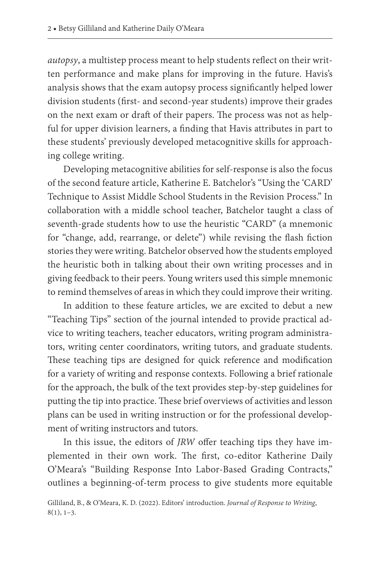*autopsy*, a multistep process meant to help students reflect on their written performance and make plans for improving in the future. Havis's analysis shows that the exam autopsy process significantly helped lower division students (first- and second-year students) improve their grades on the next exam or draft of their papers. The process was not as helpful for upper division learners, a finding that Havis attributes in part to these students' previously developed metacognitive skills for approaching college writing.

Developing metacognitive abilities for self-response is also the focus of the second feature article, Katherine E. Batchelor's "Using the 'CARD' Technique to Assist Middle School Students in the Revision Process." In collaboration with a middle school teacher, Batchelor taught a class of seventh-grade students how to use the heuristic "CARD" (a mnemonic for "change, add, rearrange, or delete") while revising the flash fiction stories they were writing. Batchelor observed how the students employed the heuristic both in talking about their own writing processes and in giving feedback to their peers. Young writers used this simple mnemonic to remind themselves of areas in which they could improve their writing.

In addition to these feature articles, we are excited to debut a new "Teaching Tips" section of the journal intended to provide practical advice to writing teachers, teacher educators, writing program administrators, writing center coordinators, writing tutors, and graduate students. These teaching tips are designed for quick reference and modification for a variety of writing and response contexts. Following a brief rationale for the approach, the bulk of the text provides step-by-step guidelines for putting the tip into practice. These brief overviews of activities and lesson plans can be used in writing instruction or for the professional development of writing instructors and tutors.

In this issue, the editors of *JRW* offer teaching tips they have implemented in their own work. The first, co-editor Katherine Daily O'Meara's "Building Response Into Labor-Based Grading Contracts," outlines a beginning-of-term process to give students more equitable